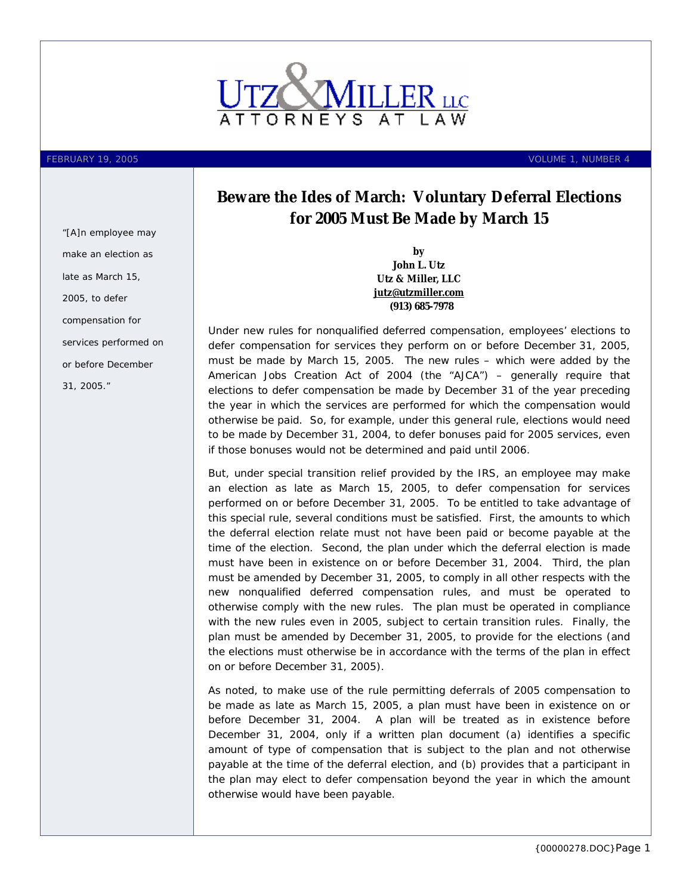

*"[A]n employee may make an election as late as March 15, 2005, to defer compensation for services performed on or before December 31, 2005."* 

FEBRUARY 19, 2005 VOLUME 1, NUMBER 4

## **Beware the Ides of March: Voluntary Deferral Elections for 2005 Must Be Made by March 15**

**by John L. Utz Utz & Miller, LLC [jutz@utzmiller.com](mailto:jutz@utzmiller.com) (913) 685-7978**

Under new rules for nonqualified deferred compensation, employees' elections to defer compensation for services they perform on or before December 31, 2005, must be made by March 15, 2005. The new rules – which were added by the American Jobs Creation Act of 2004 (the "AJCA") – generally require that elections to defer compensation be made by December 31 of the year preceding the year in which the services are performed for which the compensation would otherwise be paid. So, for example, under this general rule, elections would need to be made by December 31, 2004, to defer bonuses paid for 2005 services, even if those bonuses would not be determined and paid until 2006.

But, under special transition relief provided by the IRS, an employee may make an election as late as March 15, 2005, to defer compensation for services performed on or before December 31, 2005. To be entitled to take advantage of this special rule, several conditions must be satisfied. First, the amounts to which the deferral election relate must not have been paid or become payable at the time of the election. Second, the plan under which the deferral election is made must have been in existence on or before December 31, 2004. Third, the plan must be amended by December 31, 2005, to comply in all other respects with the new nonqualified deferred compensation rules, and must be operated to otherwise comply with the new rules. The plan must be operated in compliance with the new rules even in 2005, subject to certain transition rules. Finally, the plan must be amended by December 31, 2005, to provide for the elections (and the elections must otherwise be in accordance with the terms of the plan in effect on or before December 31, 2005).

As noted, to make use of the rule permitting deferrals of 2005 compensation to be made as late as March 15, 2005, a plan must have been in existence on or before December 31, 2004. A plan will be treated as in existence before December 31, 2004, only if a written plan document (a) identifies a specific amount of type of compensation that is subject to the plan and not otherwise payable at the time of the deferral election, and (b) provides that a participant in the plan may elect to defer compensation beyond the year in which the amount otherwise would have been payable.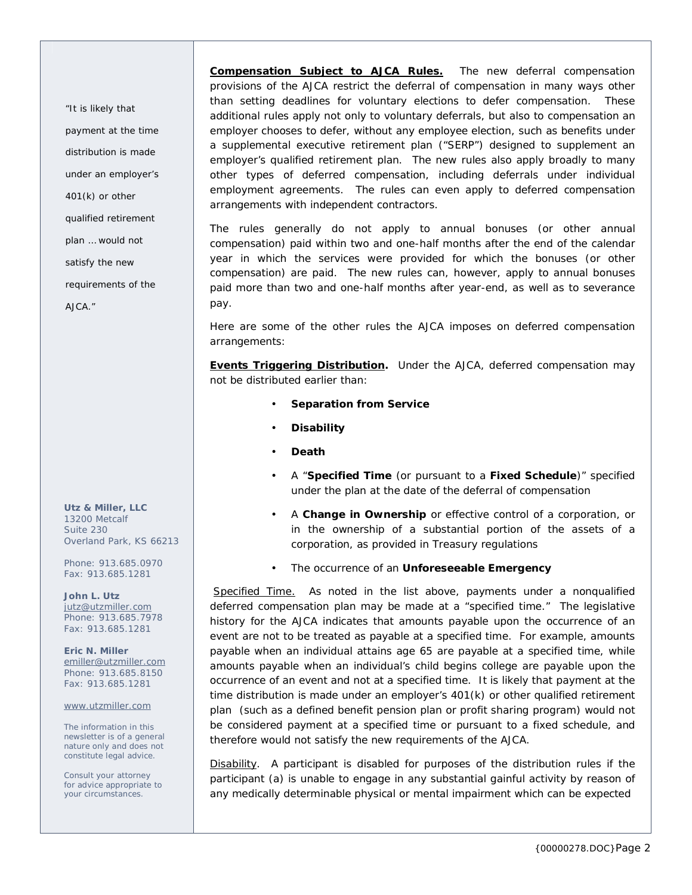*"It is likely that payment at the time distribution is made under an employer's 401(k) or other qualified retirement plan … would not satisfy the new requirements of the AJCA."*

**Utz & Miller, LLC**  13200 Metcalf Suite 230 Overland Park, KS 66213

Phone: 913.685.0970 Fax: 913.685.1281

**John L. Utz**  [jutz@utzmiller.com](mailto:jutz@utzmiller.com) Phone: 913.685.7978 Fax: 913.685.1281

**Eric N. Miller**  [emiller@utzmiller.com](mailto:emiller@utzmiller.com) Phone: 913.685.8150 Fax: 913.685.1281

[www.utzmiller.com](http://www.utzmiller.com)

The information in this newsletter is of a general nature only and does not constitute legal advice.

Consult your attorney for advice appropriate to your circumstances.

**Compensation Subject to AJCA Rules.** The new deferral compensation provisions of the AJCA restrict the deferral of compensation in many ways other than setting deadlines for voluntary elections to defer compensation.These additional rules apply not only to voluntary deferrals, but also to compensation an employer chooses to defer, without any employee election, such as benefits under a supplemental executive retirement plan ("SERP") designed to supplement an employer's qualified retirement plan. The new rules also apply broadly to many other types of deferred compensation, including deferrals under individual employment agreements. The rules can even apply to deferred compensation arrangements with independent contractors.

The rules generally do not apply to annual bonuses (or other annual compensation) paid within two and one-half months after the end of the calendar year in which the services were provided for which the bonuses (or other compensation) are paid. The new rules can, however, apply to annual bonuses paid more than two and one-half months after year-end, as well as to severance pay.

Here are some of the other rules the AJCA imposes on deferred compensation arrangements:

**Events Triggering Distribution.** Under the AJCA, deferred compensation may not be distributed earlier than:

- **Separation from Service**
- **Disability**
- **Death**
- A "**Specified Time** (or pursuant to a **Fixed Schedule**)" specified under the plan at the date of the deferral of compensation
- A **Change in Ownership** or effective control of a corporation, or in the ownership of a substantial portion of the assets of a corporation, as provided in Treasury regulations
- The occurrence of an **Unforeseeable Emergency**

Specified Time. As noted in the list above, payments under a nonqualified deferred compensation plan may be made at a "specified time." The legislative history for the AJCA indicates that amounts payable upon the occurrence of an event are *not* to be treated as payable at a specified time. For example, amounts payable when an individual attains age 65 are payable at a specified time, while amounts payable when an individual's child begins college are payable upon the occurrence of an event and not at a specified time. It is likely that payment at the time distribution is made under an employer's 401(k) or other qualified retirement plan (such as a defined benefit pension plan or profit sharing program) would not be considered payment at a specified time or pursuant to a fixed schedule, and therefore would not satisfy the new requirements of the AJCA.

Disability.A participant is disabled for purposes of the distribution rules if the participant (a) is unable to engage in any substantial gainful activity by reason of any medically determinable physical or mental impairment which can be expected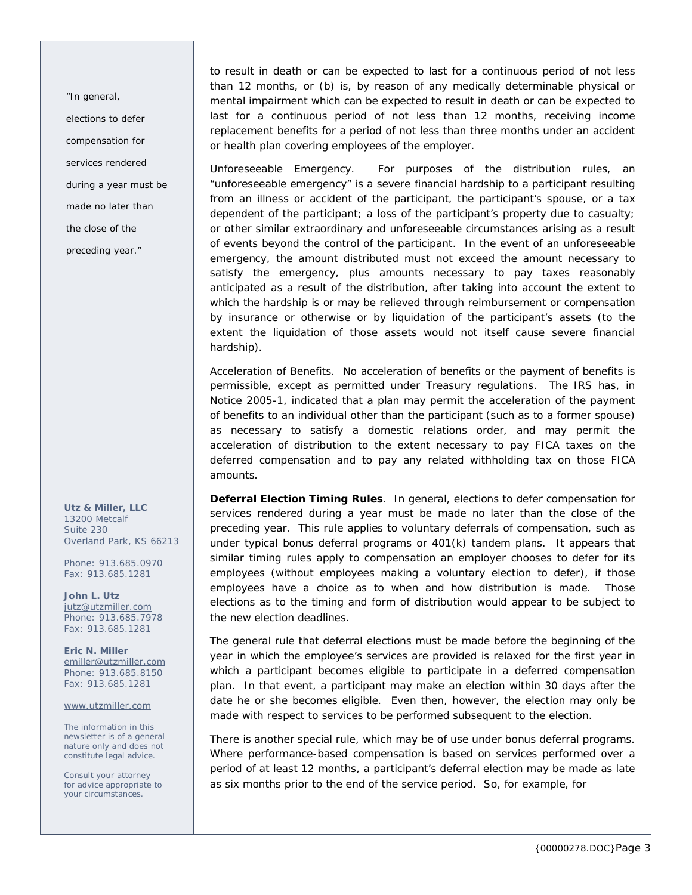*"In general, elections to defer compensation for services rendered during a year must be made no later than the close of the preceding year."* 

**Utz & Miller, LLC**  13200 Metcalf Suite 230 Overland Park, KS 66213

Phone: 913.685.0970 Fax: 913.685.1281

**John L. Utz**  [jutz@utzmiller.com](mailto:jutz@utzmiller.com) Phone: 913.685.7978 Fax: 913.685.1281

**Eric N. Miller**  [emiller@utzmiller.com](mailto:emiller@utzmiller.com) Phone: 913.685.8150 Fax: 913.685.1281

[www.utzmiller.com](http://www.utzmiller.com)

The information in this newsletter is of a general nature only and does not constitute legal advice.

Consult your attorney for advice appropriate to your circumstances.

to result in death or can be expected to last for a continuous period of not less than 12 months, or (b) is, by reason of any medically determinable physical or mental impairment which can be expected to result in death or can be expected to last for a continuous period of not less than 12 months, receiving income replacement benefits for a period of not less than three months under an accident or health plan covering employees of the employer.

Unforeseeable Emergency. For purposes of the distribution rules, an "unforeseeable emergency" is a severe financial hardship to a participant resulting from an illness or accident of the participant, the participant's spouse, or a tax dependent of the participant; a loss of the participant's property due to casualty; or other similar extraordinary and unforeseeable circumstances arising as a result of events beyond the control of the participant. In the event of an unforeseeable emergency, the amount distributed must not exceed the amount necessary to satisfy the emergency, plus amounts necessary to pay taxes reasonably anticipated as a result of the distribution, after taking into account the extent to which the hardship is or may be relieved through reimbursement or compensation by insurance or otherwise or by liquidation of the participant's assets (to the extent the liquidation of those assets would not itself cause severe financial hardship).

Acceleration of Benefits. No acceleration of benefits or the payment of benefits is permissible, except as permitted under Treasury regulations. The IRS has, in Notice 2005-1, indicated that a plan may permit the acceleration of the payment of benefits to an individual other than the participant (such as to a former spouse) as necessary to satisfy a domestic relations order, and may permit the acceleration of distribution to the extent necessary to pay FICA taxes on the deferred compensation and to pay any related withholding tax on those FICA amounts.

**Deferral Election Timing Rules**. In general, elections to defer compensation for services rendered during a year must be made no later than the close of the preceding year. This rule applies to voluntary deferrals of compensation, such as under typical bonus deferral programs or 401(k) tandem plans. It appears that similar timing rules apply to compensation an employer chooses to defer for its employees (without employees making a voluntary election to defer), if those employees have a choice as to when and how distribution is made. Those elections as to the timing and form of distribution would appear to be subject to the new election deadlines.

The general rule that deferral elections must be made before the beginning of the year in which the employee's services are provided is relaxed for the first year in which a participant becomes eligible to participate in a deferred compensation plan. In that event, a participant may make an election within 30 days after the date he or she becomes eligible. Even then, however, the election may only be made with respect to services to be performed subsequent to the election.

There is another special rule, which may be of use under bonus deferral programs. Where performance-based compensation is based on services performed over a period of at least 12 months, a participant's deferral election may be made as late as six months prior to the end of the service period. So, for example, for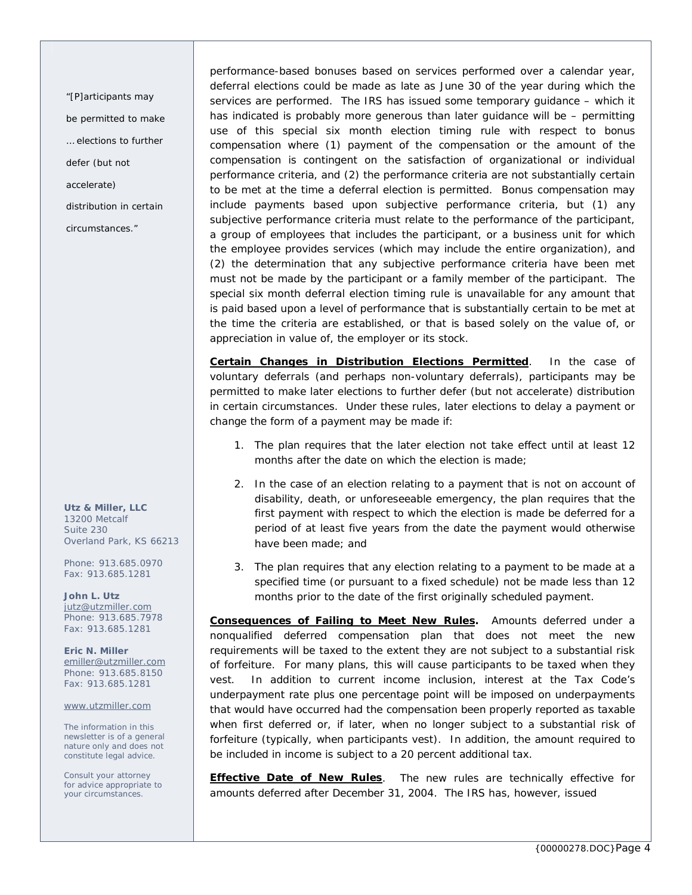*"[P]articipants may be permitted to make … elections to further defer (but not accelerate) distribution in certain circumstances."* 

**Utz & Miller, LLC**  13200 Metcalf Suite 230 Overland Park, KS 66213

Phone: 913.685.0970 Fax: 913.685.1281

**John L. Utz**  [jutz@utzmiller.com](mailto:jutz@utzmiller.com) Phone: 913.685.7978 Fax: 913.685.1281

**Eric N. Miller**  [emiller@utzmiller.com](mailto:emiller@utzmiller.com) Phone: 913.685.8150 Fax: 913.685.1281

[www.utzmiller.com](http://www.utzmiller.com)

The information in this newsletter is of a general nature only and does not constitute legal advice.

Consult your attorney for advice appropriate to your circumstances.

performance-based bonuses based on services performed over a calendar year, deferral elections could be made as late as June 30 of the year during which the services are performed. The IRS has issued some temporary guidance – which it has indicated is probably more generous than later guidance will be – permitting use of this special six month election timing rule with respect to bonus compensation where (1) payment of the compensation or the amount of the compensation is contingent on the satisfaction of organizational or individual performance criteria, and (2) the performance criteria are not substantially certain to be met at the time a deferral election is permitted. Bonus compensation may include payments based upon subjective performance criteria, but (1) any subjective performance criteria must relate to the performance of the participant, a group of employees that includes the participant, or a business unit for which the employee provides services (which may include the entire organization), and (2) the determination that any subjective performance criteria have been met must not be made by the participant or a family member of the participant. The special six month deferral election timing rule is unavailable for any amount that is paid based upon a level of performance that is substantially certain to be met at the time the criteria are established, or that is based solely on the value of, or appreciation in value of, the employer or its stock.

**Certain Changes in Distribution Elections Permitted**. In the case of voluntary deferrals (and perhaps non-voluntary deferrals), participants may be permitted to make later elections to further defer (but not accelerate) distribution in certain circumstances. Under these rules, later elections to delay a payment or change the form of a payment may be made if:

- 1. The plan requires that the later election not take effect until at least 12 months after the date on which the election is made;
- 2. In the case of an election relating to a payment that is not on account of disability, death, or unforeseeable emergency, the plan requires that the first payment with respect to which the election is made be deferred for a period of at least five years from the date the payment would otherwise have been made; and
- 3. The plan requires that any election relating to a payment to be made at a specified time (or pursuant to a fixed schedule) not be made less than 12 months prior to the date of the first originally scheduled payment.

**Consequences of Failing to Meet New Rules.** Amounts deferred under a nonqualified deferred compensation plan that does not meet the new requirements will be taxed to the extent they are not subject to a substantial risk of forfeiture. For many plans, this will cause participants to be taxed when they vest. In addition to current income inclusion, interest at the Tax Code's underpayment rate plus one percentage point will be imposed on underpayments that would have occurred had the compensation been properly reported as taxable when first deferred or, if later, when no longer subject to a substantial risk of forfeiture (typically, when participants vest). In addition, the amount required to be included in income is subject to a 20 percent additional tax.

**Effective Date of New Rules**. The new rules are technically effective for amounts deferred after December 31, 2004. The IRS has, however, issued